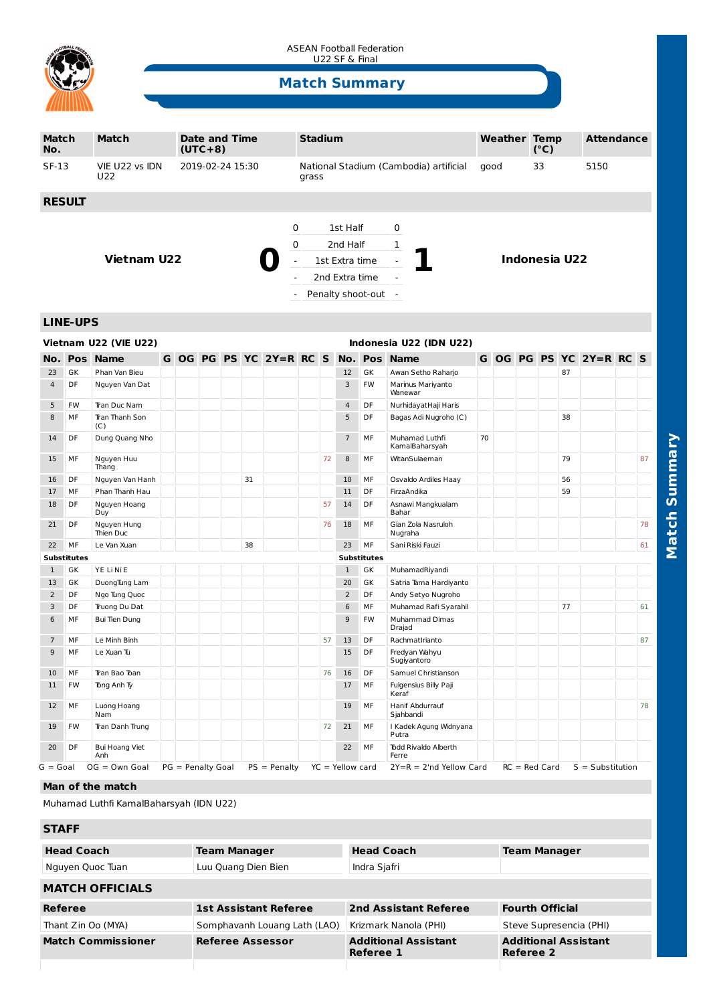

ASEAN Football Federation U22 SF & Final

# **Match Summary**

| Match<br>No.                                     |                    | Match                          |                  | <b>Date and Time</b><br>$(UTC+8)$ |                          |                                            |                    |                                                 | <b>Stadium</b>               |    |                     |                      |                                                   | <b>Weather Temp</b> |    |                 | (°C) |    | <b>Attendance</b>       |    |    |
|--------------------------------------------------|--------------------|--------------------------------|------------------|-----------------------------------|--------------------------|--------------------------------------------|--------------------|-------------------------------------------------|------------------------------|----|---------------------|----------------------|---------------------------------------------------|---------------------|----|-----------------|------|----|-------------------------|----|----|
| $SF-13$                                          |                    | VIE U22 vs IDN<br>U22          | 2019-02-24 15:30 |                                   |                          |                                            |                    | National Stadium (Cambodia) artificial<br>grass |                              |    |                     | good                 |                                                   |                     | 33 |                 | 5150 |    |                         |    |    |
|                                                  | <b>RESULT</b>      |                                |                  |                                   |                          |                                            |                    |                                                 |                              |    |                     |                      |                                                   |                     |    |                 |      |    |                         |    |    |
|                                                  |                    |                                |                  |                                   |                          |                                            |                    |                                                 |                              |    |                     |                      |                                                   |                     |    |                 |      |    |                         |    |    |
|                                                  |                    |                                |                  |                                   |                          |                                            |                    | 0                                               |                              |    | 1st Half            |                      | 0                                                 |                     |    |                 |      |    |                         |    |    |
|                                                  |                    |                                |                  |                                   |                          |                                            | 1<br>0<br>2nd Half |                                                 |                              |    |                     | <b>Indonesia U22</b> |                                                   |                     |    |                 |      |    |                         |    |    |
| <b>Vietnam U22</b>                               |                    |                                |                  |                                   | $\overline{\phantom{a}}$ | 1st Extra time<br>$\overline{\phantom{a}}$ |                    |                                                 |                              |    |                     |                      |                                                   |                     |    |                 |      |    |                         |    |    |
|                                                  |                    |                                |                  |                                   |                          | 2nd Extra time                             |                    |                                                 |                              |    |                     |                      |                                                   |                     |    |                 |      |    |                         |    |    |
|                                                  |                    |                                |                  |                                   |                          | Penalty shoot-out -                        |                    |                                                 |                              |    |                     |                      |                                                   |                     |    |                 |      |    |                         |    |    |
|                                                  |                    |                                |                  |                                   |                          |                                            |                    |                                                 |                              |    |                     |                      |                                                   |                     |    |                 |      |    |                         |    |    |
| <b>LINE-UPS</b>                                  |                    |                                |                  |                                   |                          |                                            |                    |                                                 |                              |    |                     |                      |                                                   |                     |    |                 |      |    |                         |    |    |
| Vietnam U22 (VIE U22)<br>Indonesia U22 (IDN U22) |                    |                                |                  |                                   |                          |                                            |                    |                                                 |                              |    |                     |                      |                                                   |                     |    |                 |      |    |                         |    |    |
|                                                  |                    | <b>No. Pos Name</b>            |                  |                                   |                          |                                            |                    | G OG PG PS YC 2Y=R RC S                         |                              |    |                     | No. Pos              | <b>Name</b>                                       |                     |    |                 |      |    | G OG PG PS YC 2Y=R RC S |    |    |
| 23                                               | GK                 | Phan Van Bieu                  |                  |                                   |                          |                                            |                    |                                                 |                              |    | 12                  | GK                   | Awan Setho Raharjo                                |                     |    |                 |      | 87 |                         |    |    |
| $\overline{4}$                                   | DF                 | Nguyen Van Dat                 |                  |                                   |                          |                                            |                    |                                                 |                              |    | 3                   | FW                   | Marinus Mariyanto<br>Wanewar                      |                     |    |                 |      |    |                         |    |    |
| 5                                                | FW                 | Tran Duc Nam                   |                  |                                   |                          |                                            |                    |                                                 |                              |    | $\overline{4}$      | DF                   | NurhidayatHaji Haris                              |                     |    |                 |      |    |                         |    |    |
| 8                                                | MF                 | Tran Thanh Son<br>(C)          |                  |                                   |                          |                                            |                    |                                                 |                              |    | 5                   | DF                   | Bagas Adi Nugroho (C)                             |                     |    |                 |      | 38 |                         |    |    |
| 14                                               | DF                 | Dung Quang Nho                 |                  |                                   |                          |                                            |                    |                                                 |                              |    | $\overline{7}$      | MF                   | Muhamad Luthfi<br>KamalBaharsyah                  | 70                  |    |                 |      |    |                         |    |    |
| 15                                               | MF                 | Nguyen Huu<br>Thang            |                  |                                   |                          |                                            |                    |                                                 |                              | 72 | 8                   | MF                   | WitanSulaeman                                     |                     |    |                 |      | 79 |                         |    | 87 |
| 16                                               | DF                 | Nguyen Van Hanh                |                  |                                   |                          |                                            | 31                 |                                                 |                              |    | 10                  | MF                   | Osvaldo Ardiles Haay                              |                     |    |                 |      | 56 |                         |    |    |
| 17                                               | MF                 | Phan Thanh Hau                 |                  |                                   |                          |                                            |                    |                                                 |                              |    | 11                  | DF                   | FirzaAndika                                       |                     |    |                 |      | 59 |                         |    |    |
| 18                                               | DF                 | Nguyen Hoang<br>Duy            |                  |                                   |                          |                                            |                    |                                                 |                              | 57 | 14                  | DF                   | Asnawi Mangkualam<br>Bahar                        |                     |    |                 |      |    |                         |    |    |
| 21                                               | DF                 | Nguyen Hung<br>Thien Duc       |                  |                                   |                          |                                            |                    |                                                 |                              | 76 | 18                  | MF                   | Gian Zola Nasruloh<br>Nugraha                     |                     |    |                 |      |    |                         |    | 78 |
| 22                                               | MF                 | 38<br>Le Van Xuan              |                  |                                   |                          |                                            |                    |                                                 | MF<br>23<br>Sani Riski Fauzi |    |                     |                      |                                                   |                     |    |                 |      |    |                         | 61 |    |
|                                                  | <b>Substitutes</b> |                                |                  |                                   |                          |                                            |                    |                                                 |                              |    |                     | <b>Substitutes</b>   |                                                   |                     |    |                 |      |    |                         |    |    |
| $\mathbf{1}$                                     | GK                 | YE Li Ni E                     |                  |                                   |                          |                                            |                    |                                                 |                              |    | $\mathbf{1}$        | GK                   | MuhamadRiyandi                                    |                     |    |                 |      |    |                         |    |    |
| 13                                               | GK                 | DuongTung Lam                  |                  |                                   |                          |                                            |                    |                                                 |                              |    | 20                  | GK                   | Satria Tama Hardiyanto                            |                     |    |                 |      |    |                         |    |    |
| 2                                                | DF<br>DF           | Ngo Tung Quoc                  |                  |                                   |                          |                                            |                    |                                                 |                              |    | $\overline{2}$<br>6 | DF<br>MF             | Andy Setyo Nugroho                                |                     |    |                 |      | 77 |                         |    | 61 |
| 3<br>6                                           | MF                 | Truong Du Dat<br>Bui Tien Dung |                  |                                   |                          |                                            |                    |                                                 |                              |    | 9                   | FW                   | Muhamad Rafi Syarahil<br>Muhammad Dimas<br>Drajad |                     |    |                 |      |    |                         |    |    |
| $\overline{7}$                                   | MF                 | Le Minh Binh                   |                  |                                   |                          |                                            |                    |                                                 |                              | 57 | 13                  | DF                   | RachmatIrianto                                    |                     |    |                 |      |    |                         |    | 87 |
| 9                                                | MF                 | Le Xuan Tu                     |                  |                                   |                          |                                            |                    |                                                 |                              |    | 15                  | DF                   | Fredyan Wahyu<br>Sugiyantoro                      |                     |    |                 |      |    |                         |    |    |
| 10                                               | МF                 | Tran Bao Toan                  |                  |                                   |                          |                                            |                    |                                                 |                              | 76 | 16                  | DF                   | Samuel Christianson                               |                     |    |                 |      |    |                         |    |    |
| 11                                               | FW                 | Tong Anh Ty                    |                  |                                   |                          |                                            |                    |                                                 |                              |    | 17                  | МF                   | Fulgensius Billy Paji<br>Keraf                    |                     |    |                 |      |    |                         |    |    |
| 12                                               | MF                 | Luong Hoang<br>Nam             |                  |                                   |                          |                                            |                    |                                                 |                              |    | 19                  | MF                   | Hanif Abdurrauf<br>Sjahbandi                      |                     |    |                 |      |    |                         |    | 78 |
| 19                                               | FW                 | Tran Danh Trung                |                  |                                   |                          |                                            |                    |                                                 |                              | 72 | 21                  | МF                   | I Kadek Agung Widnyana<br>Putra                   |                     |    |                 |      |    |                         |    |    |
| 20                                               | DF                 | Bui Hoang Viet<br>Anh          |                  |                                   |                          |                                            |                    |                                                 |                              |    | 22                  | MF                   | Todd Rivaldo Alberth<br>Ferre                     |                     |    |                 |      |    |                         |    |    |
| G = Goal                                         |                    | $OG = Own Goal$                |                  | PG = Penalty Goal                 |                          |                                            |                    | $PS = Penalty$                                  |                              |    | $YC = Yellow card$  |                      | $2Y=R = 2'nd$ Yellow Card                         |                     |    | $RC = Red Card$ |      |    | $S = Substitution$      |    |    |

### **Man of the match**

Muhamad Luthfi KamalBaharsyah (IDN U22)

## **STAFF**

| <b>Head Coach</b>         | <b>Team Manager</b>          | <b>Head Coach</b>                        | <b>Team Manager</b>                      |  |  |
|---------------------------|------------------------------|------------------------------------------|------------------------------------------|--|--|
| Nguyen Quoc Tuan          | Luu Quang Dien Bien          | Indra Sjafri                             |                                          |  |  |
| <b>MATCH OFFICIALS</b>    |                              |                                          |                                          |  |  |
| Referee                   | <b>1st Assistant Referee</b> | 2nd Assistant Referee                    | <b>Fourth Official</b>                   |  |  |
| Thant Zin Oo (MYA)        | Somphavanh Louang Lath (LAO) | Krizmark Nanola (PHI)                    | Steve Supresencia (PHI)                  |  |  |
| <b>Match Commissioner</b> | <b>Referee Assessor</b>      | <b>Additional Assistant</b><br>Referee 1 | <b>Additional Assistant</b><br>Referee 2 |  |  |
|                           |                              |                                          |                                          |  |  |